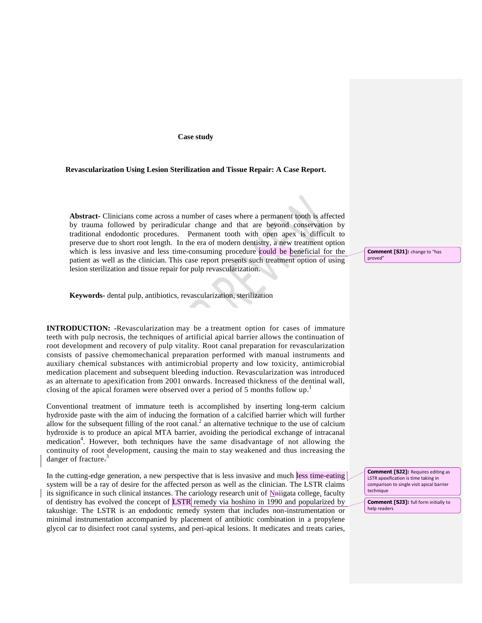#### **Case study**

#### **Revascularization Using Lesion Sterilization and Tissue Repair: A Case Report.**

**Abstract-** Clinicians come across a number of cases where a permanent tooth is affected by trauma followed by periradicular change and that are beyond conservation by traditional endodontic procedures. Permanent tooth with open apex is difficult to preserve due to short root length. In the era of modern dentistry, a new treatment option which is less invasive and less time-consuming procedure could be beneficial for the patient as well as the clinician. This case report presents such treatment option of using lesion sterilization and tissue repair for pulp revascularization.

### **Keywords-** dental pulp, antibiotics, revascularization, sterilization

**INTRODUCTION: -**Revascularization may be a treatment option for cases of immature teeth with pulp necrosis, the techniques of artificial apical barrier allows the continuation of root development and recovery of pulp vitality. Root canal preparation for revascularization consists of passive chemomechanical preparation performed with manual instruments and auxiliary chemical substances with antimicrobial property and low toxicity, antimicrobial medication placement and subsequent bleeding induction. Revascularization was introduced as an alternate to apexification from 2001 onwards. Increased thickness of the dentinal wall, closing of the apical foramen were observed over a period of 5 months follow up.<sup>1</sup>

Conventional treatment of immature teeth is accomplished by inserting long-term calcium hydroxide paste with the aim of inducing the formation of a calcified barrier which will further allow for the subsequent filling of the root canal.<sup>2</sup> an alternative technique to the use of calcium hydroxide is to produce an apical MTA barrier, avoiding the periodical exchange of intracanal medication<sup>4</sup>. However, both techniques have the same disadvantage of not allowing the continuity of root development, causing the main to stay weakened and thus increasing the danger of fracture.<sup>3</sup>

In the cutting-edge generation, a new perspective that is less invasive and much less time-eating system will be a ray of desire for the affected person as well as the clinician. The LSTR claims its significance in such clinical instances. The cariology research unit of Nniigata college, faculty of dentistry has evolved the concept of LSTR remedy via hoshino in 1990 and popularized by takushige. The LSTR is an endodontic remedy system that includes non-instrumentation or minimal instrumentation accompanied by placement of antibiotic combination in a propylene glycol car to disinfect root canal systems, and peri-apical lesions. It medicates and treats caries,

**Comment [SJ1]:** change to "has proved"

**Comment [SJ2]:** Requires editing as LSTR apexification is time taking in comparison to single visit apical barrier technique

**Comment [SJ3]:** full form initially to help readers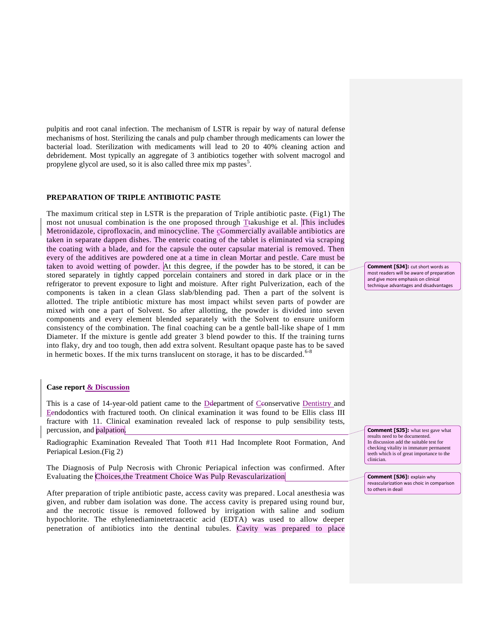pulpitis and root canal infection. The mechanism of LSTR is repair by way of natural defense mechanisms of host. Sterilizing the canals and pulp chamber through medicaments can lower the bacterial load. Sterilization with medicaments will lead to 20 to 40% cleaning action and debridement. Most typically an aggregate of 3 antibiotics together with solvent macrogol and propylene glycol are used, so it is also called three mix mp pastes<sup>5</sup>.

## **PREPARATION OF TRIPLE ANTIBIOTIC PASTE**

The maximum critical step in LSTR is the preparation of Triple antibiotic paste. (Fig1) The most not unusual combination is the one proposed through Ttakushige et al. This includes Metronidazole, ciprofloxacin, and minocycline. The cCommercially available antibiotics are taken in separate dappen dishes. The enteric coating of the tablet is eliminated via scraping the coating with a blade, and for the capsule the outer capsular material is removed. Then every of the additives are powdered one at a time in clean Mortar and pestle. Care must be taken to avoid wetting of powder. At this degree, if the powder has to be stored, it can be stored separately in tightly capped porcelain containers and stored in dark place or in the refrigerator to prevent exposure to light and moisture. After right Pulverization, each of the components is taken in a clean Glass slab/blending pad. Then a part of the solvent is allotted. The triple antibiotic mixture has most impact whilst seven parts of powder are mixed with one a part of Solvent. So after allotting, the powder is divided into seven components and every element blended separately with the Solvent to ensure uniform consistency of the combination. The final coaching can be a gentle ball-like shape of 1 mm Diameter. If the mixture is gentle add greater 3 blend powder to this. If the training turns into flaky, dry and too tough, then add extra solvent. Resultant opaque paste has to be saved in hermetic boxes. If the mix turns translucent on storage, it has to be discarded.<sup>6-8</sup>

# **Case report & Discussion**

This is a case of 14-year-old patient came to the Ddepartment of Cconservative Dentistry and Eendodontics with fractured tooth. On clinical examination it was found to be Ellis class III fracture with 11. Clinical examination revealed lack of response to pulp sensibility tests, percussion, and palpation.

Radiographic Examination Revealed That Tooth #11 Had Incomplete Root Formation, And Periapical Lesion.(Fig 2)

The Diagnosis of Pulp Necrosis with Chronic Periapical infection was confirmed. After Evaluating the Choices,the Treatment Choice Was Pulp Revascularization

After preparation of triple antibiotic paste, access cavity was prepared. Local anesthesia was given, and rubber dam isolation was done. The access cavity is prepared using round bur, and the necrotic tissue is removed followed by irrigation with saline and sodium hypochlorite. The ethylenediaminetetraacetic acid (EDTA) was used to allow deeper penetration of antibiotics into the dentinal tubules. Cavity was prepared to place **Comment [SJ4]:** cut short words as most readers will be aware of preparation and give more emphasis on clinical technique advantages and disadvantages

**Comment [SJ5]:** what test gave what results need to be documented. In discussion add the suitable test for checking vitality in immature permanent teeth which is of great importance to the clinician.

**Comment [SJ6]:** explain why revascularization was choic in comparison to others in deail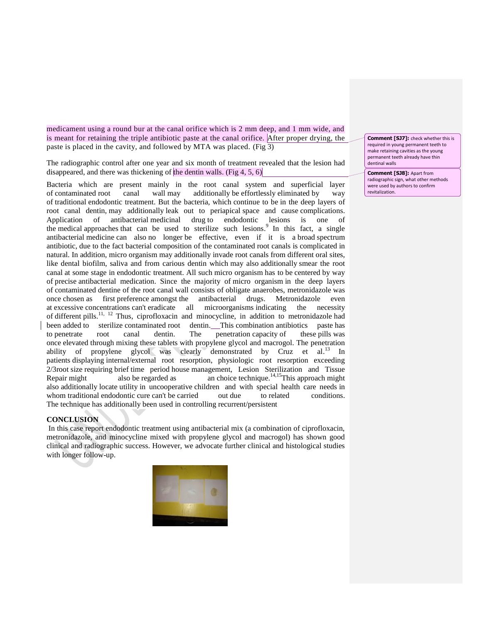medicament using a round bur at the canal orifice which is 2 mm deep, and 1 mm wide, and is meant for retaining the triple antibiotic paste at the canal orifice. After proper drying, the paste is placed in the cavity, and followed by MTA was placed. (Fig 3)

The radiographic control after one year and six month of treatment revealed that the lesion had disappeared, and there was thickening of the dentin walls. (Fig  $4, 5, 6$ )

Bacteria which are present mainly in the root canal system and superficial layer of contaminated root canal wall may additionally be effortlessly eliminated by way of traditional endodontic treatment. But the bacteria, which continue to be in the deep layers of root canal dentin, may additionally leak out to periapical space and cause complications. Application of antibacterial medicinal drug to endodontic lesions is one of the medical approaches that can be used to sterilize such lesions.<sup>9</sup> In this fact, a single antibacterial medicine can also no longer be effective, even if it is a broad spectrum antibiotic, due to the fact bacterial composition of the contaminated root canals is complicated in natural. In addition, micro organism may additionally invade root canals from different oral sites, like dental biofilm, saliva and from carious dentin which may also additionally smear the root canal at some stage in endodontic treatment. All such micro organism has to be centered by way of precise antibacterial medication. Since the majority of micro organism in the deep layers of contaminated dentine of the root canal wall consists of obligate anaerobes, metronidazole was once chosen as first preference amongst the antibacterial drugs. Metronidazole even at excessive concentrations can't eradicate all microorganisms indicating the necessity of different pills.<sup>11, 12</sup> Thus, ciprofloxacin and minocycline, in addition to metronidazole had been added to sterilize contaminated root dentin. This combination antibiotics paste has to penetrate root canal dentin. The penetration capacity of these pills was once elevated through mixing these tablets with propylene glycol and macrogol. The penetration ability of propylene glycol was clearly demonstrated by Cruz et al.<sup>13</sup> In patients displaying internal/external root resorption, physiologic root resorption exceeding 2/3root size requiring brief time period house management, Lesion Sterilization and Tissue Repair might also be regarded as an choice technique.<sup>14,15</sup>This approach might also additionally locate utility in uncooperative children and with special health care needs in whom traditional endodontic cure can't be carried out due to related conditions. The technique has additionally been used in controlling recurrent/persistent

## **CONCLUSION**

In this case report endodontic treatment using antibacterial mix (a combination of ciprofloxacin, metronidazole, and minocycline mixed with propylene glycol and macrogol) has shown good clinical and radiographic success. However, we advocate further clinical and histological studies with longer follow-up.



**Comment [SJ7]:** check whether this is required in young permanent teeth to make retaining cavities as the young permanent teeth already have thin dentinal walls

**Comment [SJ8]:** Apart from radiographic sign, what other methods were used by authors to confirm revitalization.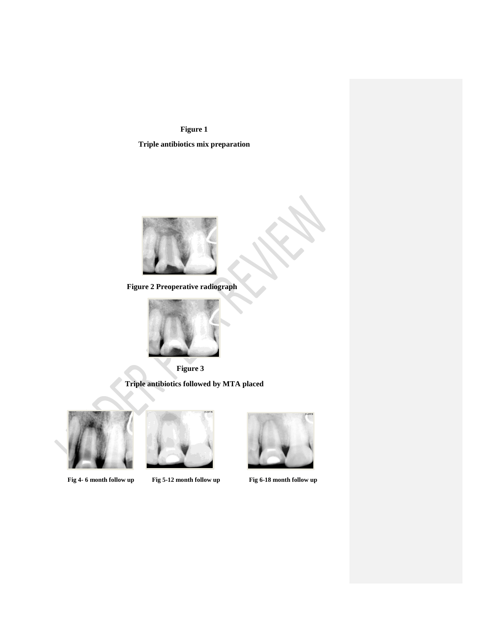**Figure 1**

 **Triple antibiotics mix preparation**



 **Figure 2 Preoperative radiograph**



 **Figure 3** 

 **Triple antibiotics followed by MTA placed** 





 **Fig 4- 6 month follow up Fig 5-12 month follow up Fig 6-18 month follow up**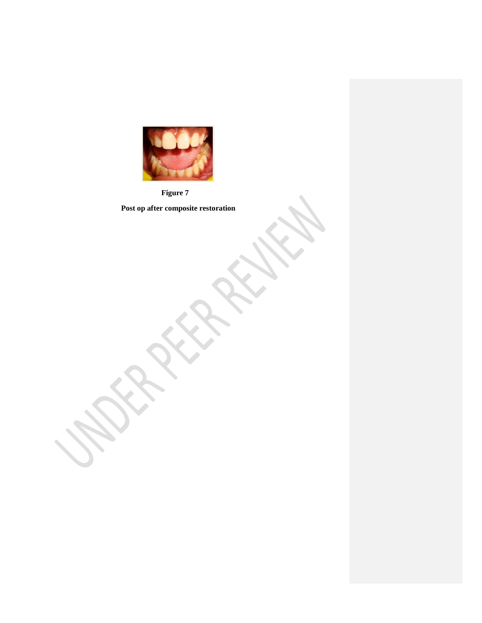

 **Figure 7**

 **Post op after composite restoration**